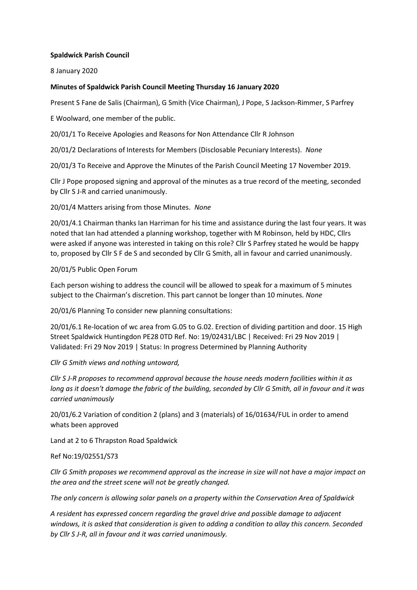# **Spaldwick Parish Council**

8 January 2020

# **Minutes of Spaldwick Parish Council Meeting Thursday 16 January 2020**

Present S Fane de Salis (Chairman), G Smith (Vice Chairman), J Pope, S Jackson-Rimmer, S Parfrey

E Woolward, one member of the public.

20/01/1 To Receive Apologies and Reasons for Non Attendance Cllr R Johnson

20/01/2 Declarations of Interests for Members (Disclosable Pecuniary Interests). *None*

20/01/3 To Receive and Approve the Minutes of the Parish Council Meeting 17 November 2019.

Cllr J Pope proposed signing and approval of the minutes as a true record of the meeting, seconded by Cllr S J-R and carried unanimously.

20/01/4 Matters arising from those Minutes. *None*

20/01/4.1 Chairman thanks Ian Harriman for his time and assistance during the last four years. It was noted that Ian had attended a planning workshop, together with M Robinson, held by HDC, Cllrs were asked if anyone was interested in taking on this role? Cllr S Parfrey stated he would be happy to, proposed by Cllr S F de S and seconded by Cllr G Smith, all in favour and carried unanimously.

## 20/01/5 Public Open Forum

Each person wishing to address the council will be allowed to speak for a maximum of 5 minutes subject to the Chairman's discretion. This part cannot be longer than 10 minutes*. None*

20/01/6 Planning To consider new planning consultations:

20/01/6.1 Re-location of wc area from G.05 to G.02. Erection of dividing partition and door. 15 High Street Spaldwick Huntingdon PE28 0TD Ref. No: 19/02431/LBC | Received: Fri 29 Nov 2019 | Validated: Fri 29 Nov 2019 | Status: In progress Determined by Planning Authority

## *Cllr G Smith views and nothing untoward,*

*Cllr S J-R proposes to recommend approval because the house needs modern facilities within it as long as it doesn't damage the fabric of the building, seconded by Cllr G Smith, all in favour and it was carried unanimously*

20/01/6.2 Variation of condition 2 (plans) and 3 (materials) of 16/01634/FUL in order to amend whats been approved

Land at 2 to 6 Thrapston Road Spaldwick

## Ref No:19/02551/S73

*Cllr G Smith proposes we recommend approval as the increase in size will not have a major impact on the area and the street scene will not be greatly changed.*

*The only concern is allowing solar panels on a property within the Conservation Area of Spaldwick*

*A resident has expressed concern regarding the gravel drive and possible damage to adjacent windows, it is asked that consideration is given to adding a condition to allay this concern. Seconded by Cllr S J-R, all in favour and it was carried unanimously.*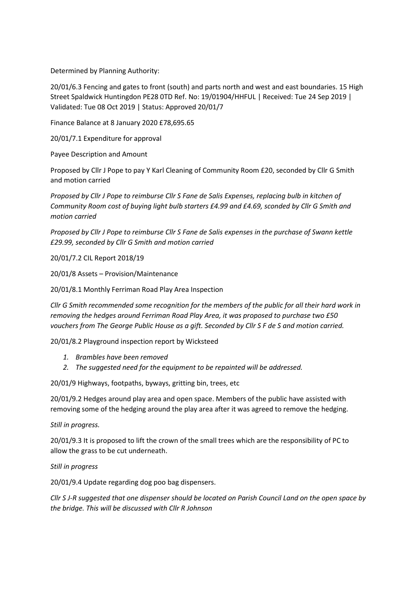Determined by Planning Authority:

20/01/6.3 Fencing and gates to front (south) and parts north and west and east boundaries. 15 High Street Spaldwick Huntingdon PE28 0TD Ref. No: 19/01904/HHFUL | Received: Tue 24 Sep 2019 | Validated: Tue 08 Oct 2019 | Status: Approved 20/01/7

Finance Balance at 8 January 2020 £78,695.65

20/01/7.1 Expenditure for approval

Payee Description and Amount

Proposed by Cllr J Pope to pay Y Karl Cleaning of Community Room £20, seconded by Cllr G Smith and motion carried

*Proposed by Cllr J Pope to reimburse Cllr S Fane de Salis Expenses, replacing bulb in kitchen of Community Room cost of buying light bulb starters £4.99 and £4.69, sconded by Cllr G Smith and motion carried*

*Proposed by Cllr J Pope to reimburse Cllr S Fane de Salis expenses in the purchase of Swann kettle £29.99, seconded by Cllr G Smith and motion carried*

20/01/7.2 CIL Report 2018/19

20/01/8 Assets – Provision/Maintenance

20/01/8.1 Monthly Ferriman Road Play Area Inspection

*Cllr G Smith recommended some recognition for the members of the public for all their hard work in removing the hedges around Ferriman Road Play Area, it was proposed to purchase two £50 vouchers from The George Public House as a gift. Seconded by Cllr S F de S and motion carried.*

20/01/8.2 Playground inspection report by Wicksteed

- *1. Brambles have been removed*
- *2. The suggested need for the equipment to be repainted will be addressed.*

20/01/9 Highways, footpaths, byways, gritting bin, trees, etc

20/01/9.2 Hedges around play area and open space. Members of the public have assisted with removing some of the hedging around the play area after it was agreed to remove the hedging.

*Still in progress.*

20/01/9.3 It is proposed to lift the crown of the small trees which are the responsibility of PC to allow the grass to be cut underneath.

*Still in progress*

20/01/9.4 Update regarding dog poo bag dispensers.

*Cllr S J-R suggested that one dispenser should be located on Parish Council Land on the open space by the bridge. This will be discussed with Cllr R Johnson*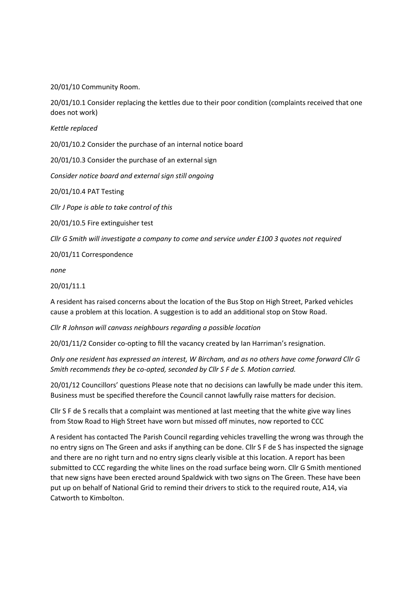20/01/10 Community Room.

20/01/10.1 Consider replacing the kettles due to their poor condition (complaints received that one does not work)

*Kettle replaced* 

20/01/10.2 Consider the purchase of an internal notice board

20/01/10.3 Consider the purchase of an external sign

*Consider notice board and external sign still ongoing*

20/01/10.4 PAT Testing

*Cllr J Pope is able to take control of this* 

20/01/10.5 Fire extinguisher test

*Cllr G Smith will investigate a company to come and service under £100 3 quotes not required*

20/01/11 Correspondence

*none*

20/01/11.1

A resident has raised concerns about the location of the Bus Stop on High Street, Parked vehicles cause a problem at this location. A suggestion is to add an additional stop on Stow Road.

*Cllr R Johnson will canvass neighbours regarding a possible location*

20/01/11/2 Consider co-opting to fill the vacancy created by Ian Harriman's resignation.

*Only one resident has expressed an interest, W Bircham, and as no others have come forward Cllr G Smith recommends they be co-opted, seconded by Cllr S F de S. Motion carried.* 

20/01/12 Councillors' questions Please note that no decisions can lawfully be made under this item. Business must be specified therefore the Council cannot lawfully raise matters for decision.

Cllr S F de S recalls that a complaint was mentioned at last meeting that the white give way lines from Stow Road to High Street have worn but missed off minutes, now reported to CCC

A resident has contacted The Parish Council regarding vehicles travelling the wrong was through the no entry signs on The Green and asks if anything can be done. Cllr S F de S has inspected the signage and there are no right turn and no entry signs clearly visible at this location. A report has been submitted to CCC regarding the white lines on the road surface being worn. Cllr G Smith mentioned that new signs have been erected around Spaldwick with two signs on The Green. These have been put up on behalf of National Grid to remind their drivers to stick to the required route, A14, via Catworth to Kimbolton.